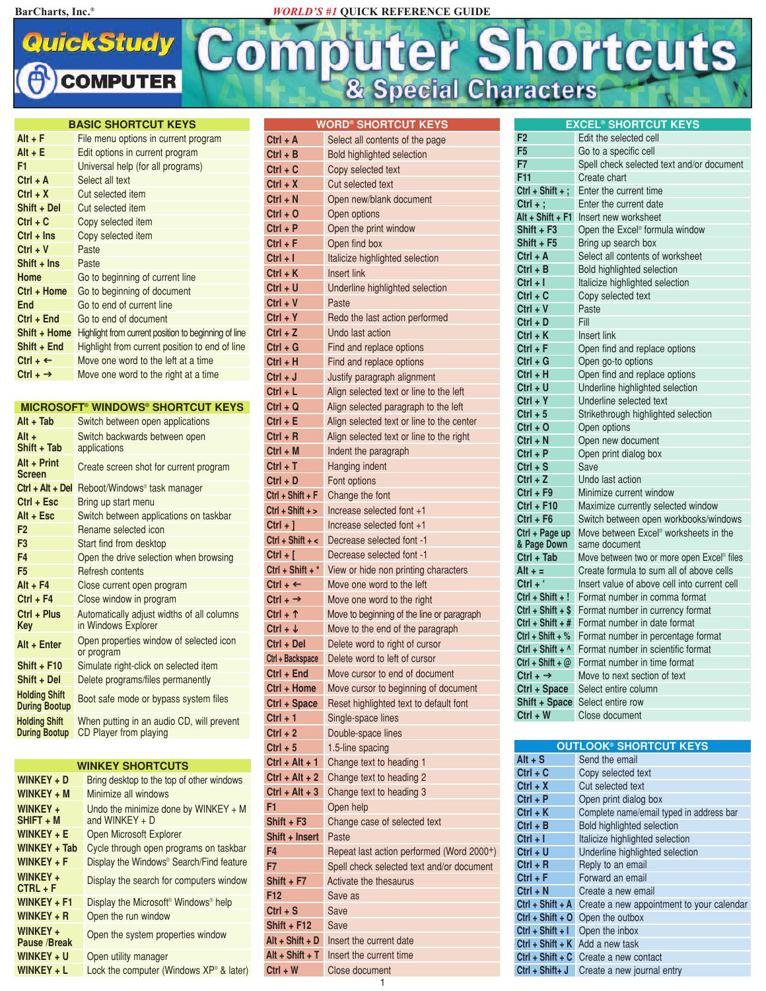**BarCharts, Inc.®** *WORLD'S #1* **QUICK REFERENCE GUIDE**

## **QuickStudy** Computer Shortcuts

| <b>BASIC SHORTCUT KEYS</b> |                                                      |  |  |  |  |  |  |
|----------------------------|------------------------------------------------------|--|--|--|--|--|--|
| $Alt + F$                  | File menu options in current program                 |  |  |  |  |  |  |
| $Alt + E$                  | Edit options in current program                      |  |  |  |  |  |  |
| F <sub>1</sub>             | Universal help (for all programs)                    |  |  |  |  |  |  |
| $Ctrl + A$                 | Select all text                                      |  |  |  |  |  |  |
| $Ctrl + X$                 | Cut selected item                                    |  |  |  |  |  |  |
| Shift + Del                | Cut selected item                                    |  |  |  |  |  |  |
| $Ctrl + C$                 | Copy selected item                                   |  |  |  |  |  |  |
| $Ctrl + Ins$               | Copy selected item                                   |  |  |  |  |  |  |
| $Ctrl + V$                 | Paste                                                |  |  |  |  |  |  |
| $Shift + Ins$              | Paste                                                |  |  |  |  |  |  |
| Home                       | Go to beginning of current line                      |  |  |  |  |  |  |
| Ctrl + Home                | Go to beginning of document                          |  |  |  |  |  |  |
| End                        | Go to end of current line                            |  |  |  |  |  |  |
| $Ctrl + End$               | Go to end of document                                |  |  |  |  |  |  |
| Shift + Home               | Highlight from current position to beginning of line |  |  |  |  |  |  |
| Shift + End                | Highlight from current position to end of line       |  |  |  |  |  |  |
| Ctrl + $\leftarrow$        | Move one word to the left at a time                  |  |  |  |  |  |  |
| Ctrl + $\rightarrow$       | Move one word to the right at a time                 |  |  |  |  |  |  |
|                            |                                                      |  |  |  |  |  |  |

## **MICROSOFT® WINDOWS® SHORTCUT KEYS**

| $Alt + Tab$                                  | Switch between open applications                                    |
|----------------------------------------------|---------------------------------------------------------------------|
| $Alt +$<br>Shift + Tab                       | Switch backwards between open<br>applications                       |
| Alt + Print<br><b>Screen</b>                 | Create screen shot for current program                              |
| $Ctrl + Alt + Del$                           | Reboot/Windows <sup>®</sup> task manager                            |
| $Ctrl + Esc$                                 | Bring up start menu                                                 |
| Alt + Esc                                    | Switch between applications on taskbar                              |
| F <sub>2</sub>                               | Rename selected icon                                                |
| F <sub>3</sub>                               | Start find from desktop                                             |
| F <sub>4</sub>                               | Open the drive selection when browsing                              |
| F <sub>5</sub>                               | Refresh contents                                                    |
| $Alt + F4$                                   | Close current open program                                          |
| $Ctrl + F4$                                  | Close window in program                                             |
| Ctrl + Plus<br>Key                           | Automatically adjust widths of all columns<br>in Windows Explorer   |
| Alt + Enter                                  | Open properties window of selected icon<br>or program               |
| $Shift + F10$                                | Simulate right-click on selected item                               |
| Shift + Del                                  | Delete programs/files permanently                                   |
| <b>Holding Shift</b><br><b>During Bootup</b> | Boot safe mode or bypass system files                               |
| <b>Holding Shift</b><br><b>During Bootup</b> | When putting in an audio CD, will prevent<br>CD Player from playing |

**WINKEY SHORTCUTS**

| <b>WINKEY + D</b>            | Bring desktop to the top of other windows                    |
|------------------------------|--------------------------------------------------------------|
| WINKEY + M                   | Minimize all windows                                         |
| WINKEY +<br><b>SHIFT + M</b> | Undo the minimize done by WINKEY $+$ M<br>and WINKEY $+ D$   |
| $WINKEY + E$                 | Open Microsoft Explorer                                      |
| WINKEY + Tab                 | Cycle through open programs on taskbar                       |
| $WINKEY + F$                 | Display the Windows® Search/Find feature                     |
| WINKEY +<br>$CTRL + F$       | Display the search for computers window                      |
| $WINKEY + F1$                | Display the Microsoft <sup>®</sup> Windows <sup>®</sup> help |
| $WINKEY + R$                 | Open the run window                                          |
| WINKEY +<br>Pause /Break     | Open the system properties window                            |
| WINKEY + U                   | Open utility manager                                         |
| WINKEY + L                   | Lock the computer (Windows $XP^*$ & later)                   |

|                                | <b>WORD® SHORTCUT KEYS</b>                                      |
|--------------------------------|-----------------------------------------------------------------|
| $Ctrl + A$                     | Select all contents of the page                                 |
| Ctrl + B                       | Bold highlighted selection                                      |
| $Ctrl + C$                     | Copy selected text                                              |
| $Ctrl + X$                     | Cut selected text                                               |
| Ctrl + N                       | Open new/blank document                                         |
| $Ctrl + O$                     | Open options                                                    |
| Ctrl + P                       | Open the print window                                           |
| $Ctrl + F$                     | Open find box                                                   |
| Ctrl + I                       | Italicize highlighted selection                                 |
| Ctrl + K                       | Insert link                                                     |
| Ctrl + U                       | Underline highlighted selection                                 |
| $Ctrl + V$                     | Paste                                                           |
| $Ctrl + Y$                     | Redo the last action performed                                  |
| $Ctrl + Z$                     | Undo last action                                                |
| Ctrl + G                       | Find and replace options                                        |
| Ctrl + H                       | Find and replace options                                        |
| Ctrl + J                       | Justify paragraph alignment                                     |
| Ctrl + L                       | Align selected text or line to the left                         |
| Ctrl + Q                       | Align selected paragraph to the left                            |
| $Ctrl + E$                     | Align selected text or line to the center                       |
| $Ctrl + R$                     | Align selected text or line to the right                        |
| $Ctrl + M$                     | Indent the paragraph                                            |
| $Ctrl + T$                     | Hanging indent                                                  |
| $Ctrl + D$                     | Font options                                                    |
| Ctrl + Shift + F               | Change the font                                                 |
| $Ctrl + Shift + >$             | Increase selected font +1                                       |
| $Ctrl + ]$                     | Increase selected font +1                                       |
| $Ctrl + Shift + <$             | Decrease selected font -1                                       |
| $Ctrl + [$                     | Decrease selected font -1                                       |
| Ctrl + Shift + *               | View or hide non printing characters                            |
| Ctrl + $\leftarrow$            | Move one word to the left                                       |
| Ctrl + $\rightarrow$           | Move one word to the right                                      |
| Ctrl + $\uparrow$              | Move to beginning of the line or paragraph                      |
| Ctrl + $\downarrow$            | Move to the end of the paragraph                                |
| Ctrl + Del                     | Delete word to right of cursor                                  |
| Ctrl + Backspace<br>Ctrl + End | Delete word to left of cursor<br>Move cursor to end of document |
| Ctrl + Home                    |                                                                 |
|                                | Move cursor to beginning of document                            |
| Ctrl + Space<br>$Ctrl + 1$     | Reset highlighted text to default font<br>Single-space lines    |
| $Ctrl + 2$                     | Double-space lines                                              |
| $Ctrl + 5$                     | 1.5-line spacing                                                |
| $Ctrl + Alt + 1$               | Change text to heading 1                                        |
| $Ctrl + Alt + 2$               | Change text to heading 2                                        |
| $Ctrl + Alt + 3$               | Change text to heading 3                                        |
| F1                             | Open help                                                       |
| $Shift + F3$                   | Change case of selected text                                    |
| Shift + Insert                 | Paste                                                           |
| F4                             | Repeat last action performed (Word 2000+)                       |
| F7                             | Spell check selected text and/or document                       |
| $Shift + F7$                   | Activate the thesaurus                                          |
|                                |                                                                 |
| F <sub>12</sub>                | Save as                                                         |
| $Ctrl + S$                     |                                                                 |
| Shift + F12                    | Save<br>Save                                                    |
| $Alt + Shift + D$              | Insert the current date                                         |

|                           | <b>EXCEL<sup>®</sup> SHORTCUT KEYS</b>                                                 |
|---------------------------|----------------------------------------------------------------------------------------|
| F <sub>2</sub>            | Edit the selected cell                                                                 |
| F <sub>5</sub>            | Go to a specific cell                                                                  |
| F7                        | Spell check selected text and/or document                                              |
| F11                       | Create chart                                                                           |
| $Ctrl + Shift + :$        | Enter the current time                                                                 |
| $Ctrl + :$                | Enter the current date                                                                 |
| $Alt + Shift + F1$        | Insert new worksheet                                                                   |
| $Shift + F3$              | Open the Excel <sup>®</sup> formula window                                             |
| Shift + F5                | Bring up search box                                                                    |
| $Ctrl + A$                | Select all contents of worksheet                                                       |
| $Ctrl + B$                | <b>Bold highlighted selection</b>                                                      |
| $Ctrl + I$                | Italicize highlighted selection                                                        |
| Ctrl + C                  | Copy selected text                                                                     |
| $Ctrl + V$                | Paste                                                                                  |
| $Ctrl + D$                | Fill                                                                                   |
| $Ctrl + K$                | Insert link                                                                            |
| $Ctrl + F$                | Open find and replace options                                                          |
| $Ctrl + G$                | Open go-to options                                                                     |
| Ctrl + H                  | Open find and replace options                                                          |
| Ctrl + U                  | Underline highlighted selection                                                        |
| $Ctrl + Y$                | Underline selected text                                                                |
| $Ctrl + 5$                | Strikethrough highlighted selection                                                    |
| $Ctrl + O$                | Open options                                                                           |
| Ctrl + N                  | Open new document                                                                      |
| $Ctrl + P$                | Open print dialog box                                                                  |
| $Ctrl + S$                | Save                                                                                   |
| $Ctrl + Z$                | Undo last action                                                                       |
| $Ctrl + F9$               | Minimize current window                                                                |
| $Ctrl + F10$              | Maximize currently selected window                                                     |
| Ctrl + F6                 | Switch between open workbooks/windows                                                  |
| Ctrl + Page up            | Move between Excel <sup>®</sup> worksheets in the                                      |
| & Page Down<br>Ctrl + Tab | same document                                                                          |
| $Alt + =$                 | Move between two or more open Excel® files<br>Create formula to sum all of above cells |
| $Ctrl + '$                | Insert value of above cell into current cell                                           |
| $Ctrl + Shift + !$        | Format number in comma format                                                          |
| $Ctrl + Shift + $$        | Format number in currency format                                                       |
| $Ctrl + Shift + #$        | Format number in date format                                                           |
| $Ctrl + Shift + %$        | Format number in percentage format                                                     |
| Ctrl + Shift + $\wedge$   | Format number in scientific format                                                     |
| Ctrl + Shift + $@$        | Format number in time format                                                           |
| Ctrl + $\rightarrow$      | Move to next section of text                                                           |
| Ctrl + Space              | Select entire column                                                                   |
| Shift + Space             | Select entire row                                                                      |
| $Ctrl + W$                | Close document                                                                         |
|                           |                                                                                        |

|                    | <b>OUTLOOK® SHORTCUT KEYS</b>                                |
|--------------------|--------------------------------------------------------------|
| $Alt + S$          | Send the email                                               |
| $Ctrl + C$         | Copy selected text                                           |
| $Ctrl + X$         | Cut selected text                                            |
| $Ctrl + P$         | Open print dialog box                                        |
| $Ctrl + K$         | Complete name/email typed in address bar                     |
| $Ctrl + B$         | Bold highlighted selection                                   |
| $Ctrl + I$         | Italicize highlighted selection                              |
| $Ctrl + U$         | Underline highlighted selection                              |
| $Ctrl + R$         | Reply to an email                                            |
| $Ctrl + F$         | Forward an email                                             |
| $Ctrl + N$         | Create a new email                                           |
|                    | Ctrl + Shift + $A$ Create a new appointment to your calendar |
| $Ctrl + Shift + O$ | Open the outbox                                              |
| $Ctrl + Shift + I$ | Open the inbox                                               |
|                    | $Ctrl + Shift + K$ Add a new task                            |
|                    | $Ctrl + Shift + C$ Create a new contact                      |
| Ctrl + Shift+ J    | Create a new journal entry                                   |

1 **Ctrl + W** Close document